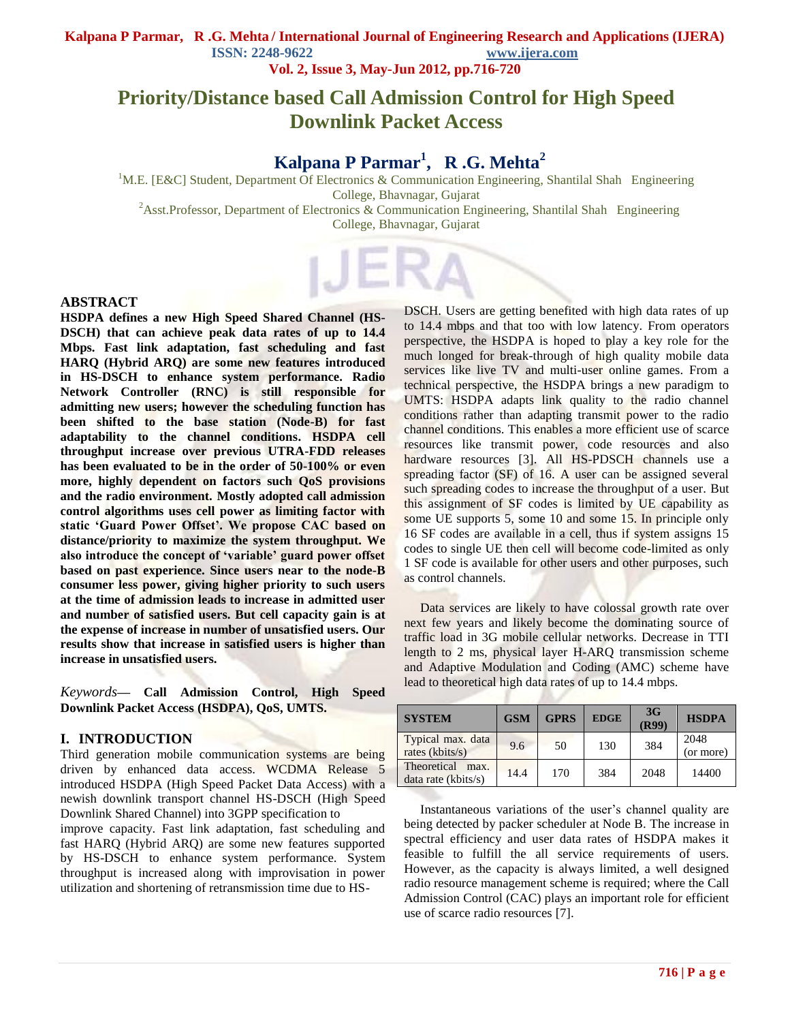**Vol. 2, Issue 3, May-Jun 2012, pp.716-720**

# **Priority/Distance based Call Admission Control for High Speed Downlink Packet Access**

# **Kalpana P Parmar<sup>1</sup> , R .G. Mehta<sup>2</sup>**

<sup>1</sup>M.E. [E&C] Student, Department Of Electronics & Communication Engineering, Shantilal Shah Engineering College, Bhavnagar, Gujarat <sup>2</sup>Asst.Professor, Department of Electronics & Communication Engineering, Shantilal Shah Engineering College, Bhavnagar, Gujarat

#### **ABSTRACT**

**HSDPA defines a new High Speed Shared Channel (HS-DSCH) that can achieve peak data rates of up to 14.4 Mbps. Fast link adaptation, fast scheduling and fast HARQ (Hybrid ARQ) are some new features introduced in HS-DSCH to enhance system performance. Radio Network Controller (RNC) is still responsible for admitting new users; however the scheduling function has been shifted to the base station (Node-B) for fast adaptability to the channel conditions. HSDPA cell throughput increase over previous UTRA-FDD releases has been evaluated to be in the order of 50-100% or even more, highly dependent on factors such QoS provisions and the radio environment. Mostly adopted call admission control algorithms uses cell power as limiting factor with static 'Guard Power Offset'. We propose CAC based on distance/priority to maximize the system throughput. We also introduce the concept of 'variable' guard power offset based on past experience. Since users near to the node-B consumer less power, giving higher priority to such users at the time of admission leads to increase in admitted user and number of satisfied users. But cell capacity gain is at the expense of increase in number of unsatisfied users. Our results show that increase in satisfied users is higher than increase in unsatisfied users.**

*Keywords***— Call Admission Control, High Speed Downlink Packet Access (HSDPA), QoS, UMTS.**

#### **I. INTRODUCTION**

Third generation mobile communication systems are being driven by enhanced data access. WCDMA Release 5 introduced HSDPA (High Speed Packet Data Access) with a newish downlink transport channel HS-DSCH (High Speed Downlink Shared Channel) into 3GPP specification to improve capacity. Fast link adaptation, fast scheduling and fast HARQ (Hybrid ARQ) are some new features supported by HS-DSCH to enhance system performance. System throughput is increased along with improvisation in power utilization and shortening of retransmission time due to HS-

DSCH. Users are getting benefited with high data rates of up to 14.4 mbps and that too with low latency. From operators perspective, the HSDPA is hoped to play a key role for the much longed for break-through of high quality mobile data services like live TV and multi-user online games. From a technical perspective, the HSDPA brings a new paradigm to UMTS: HSDPA adapts link quality to the radio channel conditions rather than adapting transmit power to the radio channel conditions. This enables a more efficient use of scarce resources like transmit power, code resources and also hardware resources [3]. All HS-PDSCH channels use a spreading factor (SF) of 16. A user can be assigned several such spreading codes to increase the throughput of a user. But this assignment of SF codes is limited by UE capability as some UE supports 5, some 10 and some 15. In principle only 16 SF codes are available in a cell, thus if system assigns 15 codes to single UE then cell will become code-limited as only 1 SF code is available for other users and other purposes, such as control channels.

 Data services are likely to have colossal growth rate over next few years and likely become the dominating source of traffic load in 3G mobile cellular networks. Decrease in TTI length to 2 ms, physical layer H-ARQ transmission scheme and Adaptive Modulation and Coding (AMC) scheme have lead to theoretical high data rates of up to 14.4 mbps.

| <b>SYSTEM</b>                              | <b>GSM</b> | <b>GPRS</b> | <b>EDGE</b> | 3G<br>(R99) | <b>HSDPA</b>      |
|--------------------------------------------|------------|-------------|-------------|-------------|-------------------|
| Typical max. data<br>rates (kbits/s)       | 9.6        | 50          | 130         | 384         | 2048<br>(or more) |
| Theoretical<br>max.<br>data rate (kbits/s) | 14.4       | 170         | 384         | 2048        | 14400             |

 Instantaneous variations of the user"s channel quality are being detected by packer scheduler at Node B. The increase in spectral efficiency and user data rates of HSDPA makes it feasible to fulfill the all service requirements of users. However, as the capacity is always limited, a well designed radio resource management scheme is required; where the Call Admission Control (CAC) plays an important role for efficient use of scarce radio resources [7].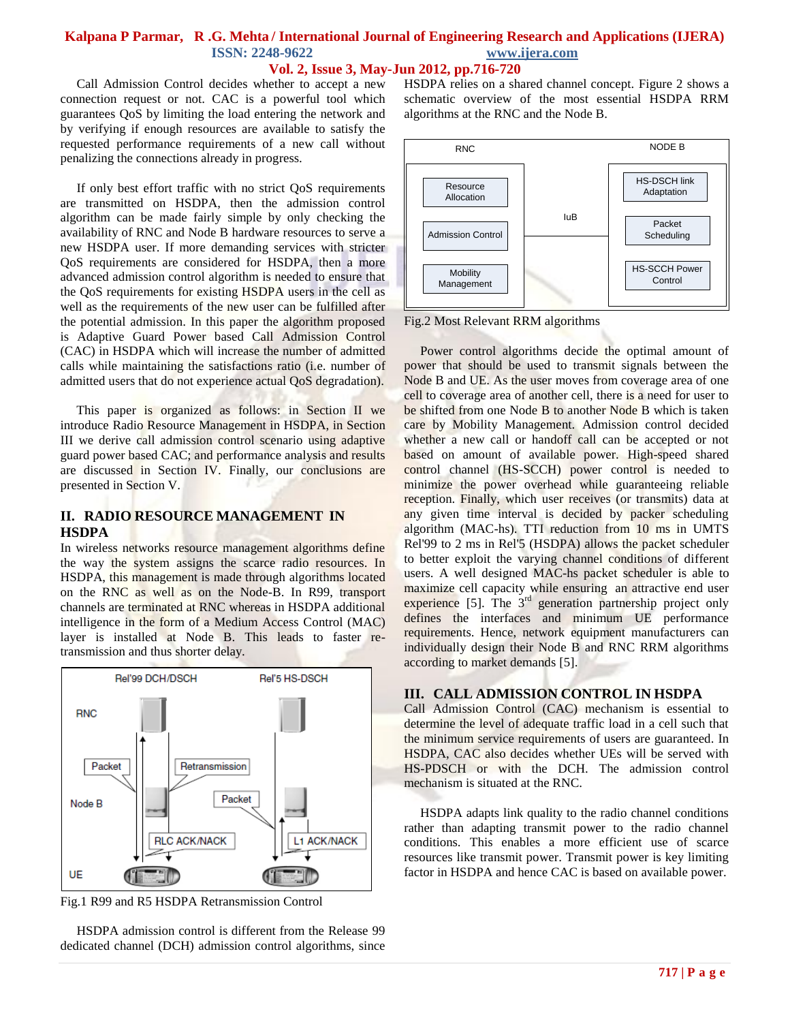#### **Vol. 2, Issue 3, May-Jun 2012, pp.716-720**

 Call Admission Control decides whether to accept a new connection request or not. CAC is a powerful tool which guarantees QoS by limiting the load entering the network and by verifying if enough resources are available to satisfy the requested performance requirements of a new call without penalizing the connections already in progress.

 If only best effort traffic with no strict QoS requirements are transmitted on HSDPA, then the admission control algorithm can be made fairly simple by only checking the availability of RNC and Node B hardware resources to serve a new HSDPA user. If more demanding services with stricter QoS requirements are considered for HSDPA, then a more advanced admission control algorithm is needed to ensure that the QoS requirements for existing HSDPA users in the cell as well as the requirements of the new user can be fulfilled after the potential admission. In this paper the algorithm proposed is Adaptive Guard Power based Call Admission Control (CAC) in HSDPA which will increase the number of admitted calls while maintaining the satisfactions ratio (i.e. number of admitted users that do not experience actual QoS degradation).

This paper is organized as follows: in Section II we introduce Radio Resource Management in HSDPA, in Section III we derive call admission control scenario using adaptive guard power based CAC; and performance analysis and results are discussed in Section IV. Finally, our conclusions are presented in Section V.

#### **II. RADIO RESOURCE MANAGEMENT IN HSDPA**

In wireless networks resource management algorithms define the way the system assigns the scarce radio resources. In HSDPA, this management is made through algorithms located on the RNC as well as on the Node-B. In R99, transport channels are terminated at RNC whereas in HSDPA additional intelligence in the form of a Medium Access Control (MAC) layer is installed at Node B. This leads to faster retransmission and thus shorter delay.



Fig.1 R99 and R5 HSDPA Retransmission Control

 HSDPA admission control is different from the Release 99 dedicated channel (DCH) admission control algorithms, since HSDPA relies on a shared channel concept. Figure 2 shows a schematic overview of the most essential HSDPA RRM algorithms at the RNC and the Node B.



Fig.2 Most Relevant RRM algorithms

 Power control algorithms decide the optimal amount of power that should be used to transmit signals between the Node B and UE. As the user moves from coverage area of one cell to coverage area of another cell, there is a need for user to be shifted from one Node B to another Node B which is taken care by Mobility Management. Admission control decided whether a new call or handoff call can be accepted or not based on amount of available power. High-speed shared control channel (HS-SCCH) power control is needed to minimize the power overhead while guaranteeing reliable reception. Finally, which user receives (or transmits) data at any given time interval is decided by packer scheduling algorithm (MAC-hs). TTI reduction from 10 ms in UMTS Rel'99 to 2 ms in Rel'5 (HSDPA) allows the packet scheduler to better exploit the varying channel conditions of different users. A well designed MAC-hs packet scheduler is able to maximize cell capacity while ensuring an attractive end user experience  $[5]$ . The  $3<sup>rd</sup>$  generation partnership project only defines the interfaces and minimum UE performance requirements. Hence, network equipment manufacturers can individually design their Node B and RNC RRM algorithms according to market demands [5].

#### **III. CALL ADMISSION CONTROL IN HSDPA**

Call Admission Control (CAC) mechanism is essential to determine the level of adequate traffic load in a cell such that the minimum service requirements of users are guaranteed. In HSDPA, CAC also decides whether UEs will be served with HS-PDSCH or with the DCH. The admission control mechanism is situated at the RNC.

 HSDPA adapts link quality to the radio channel conditions rather than adapting transmit power to the radio channel conditions. This enables a more efficient use of scarce resources like transmit power. Transmit power is key limiting factor in HSDPA and hence CAC is based on available power.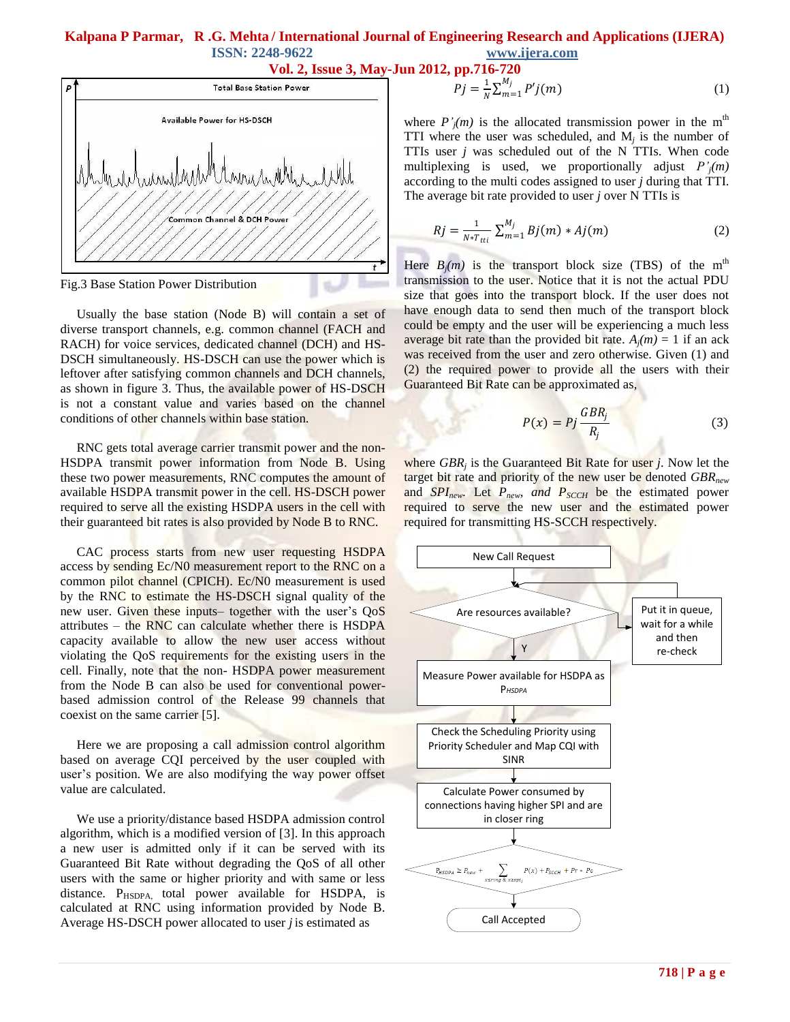

Fig.3 Base Station Power Distribution

 Usually the base station (Node B) will contain a set of diverse transport channels, e.g. common channel (FACH and RACH) for voice services, dedicated channel (DCH) and HS-DSCH simultaneously. HS-DSCH can use the power which is leftover after satisfying common channels and DCH channels, as shown in figure 3. Thus, the available power of HS-DSCH is not a constant value and varies based on the channel conditions of other channels within base station.

 RNC gets total average carrier transmit power and the non-HSDPA transmit power information from Node B. Using these two power measurements, RNC computes the amount of available HSDPA transmit power in the cell. HS-DSCH power required to serve all the existing HSDPA users in the cell with their guaranteed bit rates is also provided by Node B to RNC.

 CAC process starts from new user requesting HSDPA access by sending Ec/N0 measurement report to the RNC on a common pilot channel (CPICH). Ec/N0 measurement is used by the RNC to estimate the HS-DSCH signal quality of the new user. Given these inputs– together with the user's QoS attributes – the RNC can calculate whether there is HSDPA capacity available to allow the new user access without violating the QoS requirements for the existing users in the cell. Finally, note that the non- HSDPA power measurement from the Node B can also be used for conventional powerbased admission control of the Release 99 channels that coexist on the same carrier [5].

 Here we are proposing a call admission control algorithm based on average CQI perceived by the user coupled with user's position. We are also modifying the way power offset value are calculated.

 We use a priority/distance based HSDPA admission control algorithm, which is a modified version of [3]. In this approach a new user is admitted only if it can be served with its Guaranteed Bit Rate without degrading the QoS of all other users with the same or higher priority and with same or less distance. P<sub>HSDPA</sub>, total power available for HSDPA, is calculated at RNC using information provided by Node B. Average HS-DSCH power allocated to user *j* is estimated as

$$
Pj = \frac{1}{N} \sum_{m=1}^{M_j} P'j(m)
$$
 (1)

where  $P'_{i}(m)$  is the allocated transmission power in the m<sup>th</sup> TTI where the user was scheduled, and  $M_j$  is the number of TTIs user *j* was scheduled out of the N TTIs. When code multiplexing is used, we proportionally adjust *P'j(m)* according to the multi codes assigned to user *j* during that TTI. The average bit rate provided to user *j* over N TTIs is

$$
Rj = \frac{1}{N * T_{tti}} \sum_{m=1}^{M_j} Bj(m) * Aj(m)
$$
 (2)

Here  $B_j(m)$  is the transport block size (TBS) of the m<sup>th</sup> transmission to the user. Notice that it is not the actual PDU size that goes into the transport block. If the user does not have enough data to send then much of the transport block could be empty and the user will be experiencing a much less average bit rate than the provided bit rate.  $A_i(m) = 1$  if an ack was received from the user and zero otherwise. Given (1) and (2) the required power to provide all the users with their Guaranteed Bit Rate can be approximated as,

$$
P(x) = Pj \frac{GBR_j}{R_j} \tag{3}
$$

where *GBR<sup>j</sup>* is the Guaranteed Bit Rate for user *j*. Now let the target bit rate and priority of the new user be denoted *GBRnew* and *SPInew*. Let *Pnew, and PSCCH* be the estimated power required to serve the new user and the estimated power required for transmitting HS-SCCH respectively.

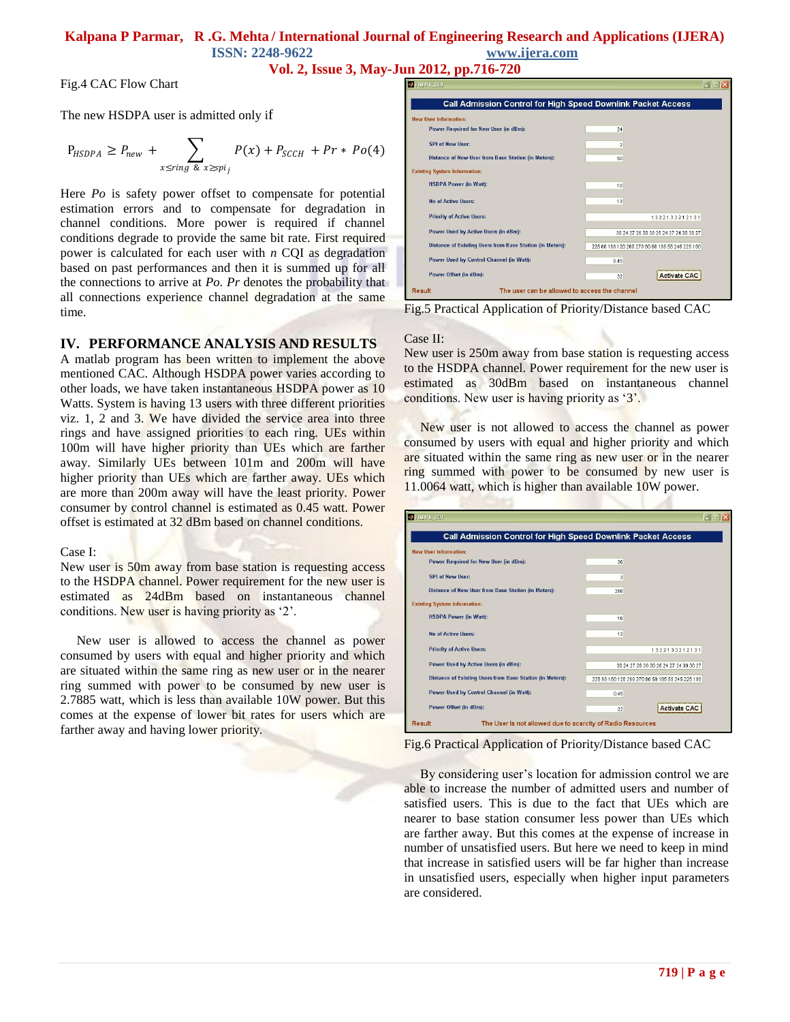**Vol. 2, Issue 3, May-Jun 2012, pp.716-720**

Fig.4 CAC Flow Chart

The new HSDPA user is admitted only if

$$
P_{HSDPA} \ge P_{new} + \sum_{x \le ing \& x \ge spi_j} P(x) + P_{SCCH} + Pr * Po(4)
$$

Here *Po* is safety power offset to compensate for potential estimation errors and to compensate for degradation in channel conditions. More power is required if channel conditions degrade to provide the same bit rate. First required power is calculated for each user with *n* CQI as degradation based on past performances and then it is summed up for all the connections to arrive at *Po. Pr* denotes the probability that all connections experience channel degradation at the same time.

#### **IV. PERFORMANCE ANALYSIS AND RESULTS**

A matlab program has been written to implement the above mentioned CAC. Although HSDPA power varies according to other loads, we have taken instantaneous HSDPA power as 10 Watts. System is having 13 users with three different priorities viz. 1, 2 and 3. We have divided the service area into three rings and have assigned priorities to each ring. UEs within 100m will have higher priority than UEs which are farther away. Similarly UEs between 101m and 200m will have higher priority than UEs which are farther away. UEs which are more than 200m away will have the least priority. Power consumer by control channel is estimated as 0.45 watt. Power offset is estimated at 32 dBm based on channel conditions.

Case I:

New user is 50m away from base station is requesting access to the HSDPA channel. Power requirement for the new user is estimated as 24dBm based on instantaneous channel conditions. New user is having priority as "2".

 New user is allowed to access the channel as power consumed by users with equal and higher priority and which are situated within the same ring as new user or in the nearer ring summed with power to be consumed by new user is 2.7885 watt, which is less than available 10W power. But this comes at the expense of lower bit rates for users which are farther away and having lower priority.

| <b>Call Admission Control for High Speed Downlink Packet Access</b> |                                                 |  |  |  |  |
|---------------------------------------------------------------------|-------------------------------------------------|--|--|--|--|
|                                                                     |                                                 |  |  |  |  |
| <b>New User Information:</b>                                        |                                                 |  |  |  |  |
| Power Required for New User (in dBm):                               | 24                                              |  |  |  |  |
| SPI of New Ilser:                                                   | $\overline{2}$                                  |  |  |  |  |
| Distance of New User from Base Station (in Meters):                 | 50                                              |  |  |  |  |
| <b>Existing System Information:</b>                                 |                                                 |  |  |  |  |
| <b>HSDPA Power (in Watt):</b>                                       | 10                                              |  |  |  |  |
| No of Active IIsers:                                                | 13                                              |  |  |  |  |
| <b>Priority of Active Users:</b>                                    | 1322133212131                                   |  |  |  |  |
| Power Used by Active Users (in dBm):                                | 30 24 27 28 30 30 25 24 27 24 30 30 27          |  |  |  |  |
| Distance of Existing Users from Base Station (in Meters):           | 225 60 180 120 260 270 90 58 195 55 245 225 190 |  |  |  |  |
| Power Used by Control Channel (in Watt):                            | 0.45                                            |  |  |  |  |
| Power Offset (in dBm):                                              | <b>Activate CAC</b><br>32                       |  |  |  |  |

Fig.5 Practical Application of Priority/Distance based CAC

#### Case II:

New user is 250m away from base station is requesting access to the HSDPA channel. Power requirement for the new user is estimated as 30dBm based on instantaneous channel conditions. New user is having priority as '3'.

 New user is not allowed to access the channel as power consumed by users with equal and higher priority and which are situated within the same ring as new user or in the nearer ring summed with power to be consumed by new user is 11.0064 watt, which is higher than available 10W power.

| <b>Call Admission Control for High Speed Downlink Packet Access</b> |                                        |                                                 |  |  |  |
|---------------------------------------------------------------------|----------------------------------------|-------------------------------------------------|--|--|--|
| <b>New User Information:</b>                                        |                                        |                                                 |  |  |  |
| Power Required for New User (in dBm):                               | 30                                     |                                                 |  |  |  |
| <b>SPI of New Ilser:</b>                                            | 3                                      |                                                 |  |  |  |
| Distance of New User from Base Station (in Meters):                 | 250                                    |                                                 |  |  |  |
| <b>Existing System Information:</b>                                 |                                        |                                                 |  |  |  |
| <b>HSDPA Power (in Watt):</b>                                       | 10                                     |                                                 |  |  |  |
| No of Active IIsers:                                                | 13                                     |                                                 |  |  |  |
| <b>Priority of Active Users:</b>                                    |                                        | 1322133212131                                   |  |  |  |
| Power Used by Active Users (in dBm):                                | 30 24 27 26 30 30 25 24 27 24 30 30 27 |                                                 |  |  |  |
| Distance of Existing Users from Base Station (in Meters):           |                                        | 225 60 180 120 260 270 90 58 195 55 245 225 190 |  |  |  |
| Power Used by Control Channel (in Watt):                            | 0.45                                   |                                                 |  |  |  |
| Power Offset (in dBm):                                              | 32                                     | <b>Activate CAC</b>                             |  |  |  |

Fig.6 Practical Application of Priority/Distance based CAC

By considering user's location for admission control we are able to increase the number of admitted users and number of satisfied users. This is due to the fact that UEs which are nearer to base station consumer less power than UEs which are farther away. But this comes at the expense of increase in number of unsatisfied users. But here we need to keep in mind that increase in satisfied users will be far higher than increase in unsatisfied users, especially when higher input parameters are considered.